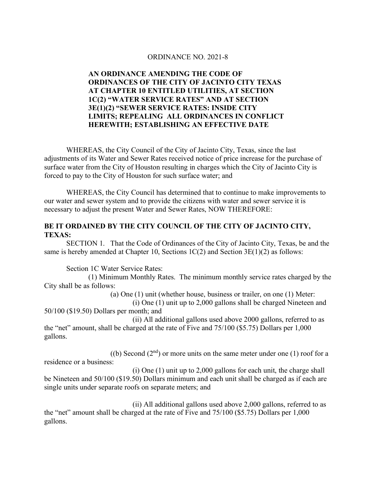## ORDINANCE NO. 2021-8

## **AN ORDINANCE AMENDING THE CODE OF ORDINANCES OF THE CITY OF JACINTO CITY TEXAS AT CHAPTER 10 ENTITLED UTILITIES, AT SECTION 1C(2) "WATER SERVICE RATES" AND AT SECTION 3E(1)(2) "SEWER SERVICE RATES: INSIDE CITY LIMITS; REPEALING ALL ORDINANCES IN CONFLICT HEREWITH; ESTABLISHING AN EFFECTIVE DATE**

WHEREAS, the City Council of the City of Jacinto City, Texas, since the last adjustments of its Water and Sewer Rates received notice of price increase for the purchase of surface water from the City of Houston resulting in charges which the City of Jacinto City is forced to pay to the City of Houston for such surface water; and

WHEREAS, the City Council has determined that to continue to make improvements to our water and sewer system and to provide the citizens with water and sewer service it is necessary to adjust the present Water and Sewer Rates, NOW THEREFORE:

## **BE IT ORDAINED BY THE CITY COUNCIL OF THE CITY OF JACINTO CITY, TEXAS:**

SECTION 1. That the Code of Ordinances of the City of Jacinto City, Texas, be and the same is hereby amended at Chapter 10, Sections  $1C(2)$  and Section  $3E(1)(2)$  as follows:

Section 1C Water Service Rates:

(1) Minimum Monthly Rates. The minimum monthly service rates charged by the City shall be as follows:

(a) One (1) unit (whether house, business or trailer, on one (1) Meter:

(i) One (1) unit up to 2,000 gallons shall be charged Nineteen and 50/100 (\$19.50) Dollars per month; and

(ii) All additional gallons used above 2000 gallons, referred to as the "net" amount, shall be charged at the rate of Five and 75/100 (\$5.75) Dollars per 1,000 gallons.

((b) Second  $(2<sup>nd</sup>)$  or more units on the same meter under one (1) roof for a residence or a business:

(i) One (1) unit up to 2,000 gallons for each unit, the charge shall be Nineteen and 50/100 (\$19.50) Dollars minimum and each unit shall be charged as if each are single units under separate roofs on separate meters; and

(ii) All additional gallons used above 2,000 gallons, referred to as the "net" amount shall be charged at the rate of Five and 75/100 (\$5.75) Dollars per 1,000 gallons.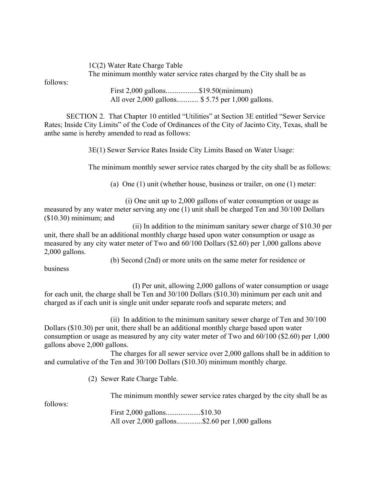1C(2) Water Rate Charge Table The minimum monthly water service rates charged by the City shall be as

follows:

First 2,000 gallons..................\$19.50(minimum) All over 2,000 gallons............ \$ 5.75 per 1,000 gallons.

SECTION 2. That Chapter 10 entitled "Utilities" at Section 3E entitled "Sewer Service Rates; Inside City Limits" of the Code of Ordinances of the City of Jacinto City, Texas, shall be anthe same is hereby amended to read as follows:

3E(1) Sewer Service Rates Inside City Limits Based on Water Usage:

The minimum monthly sewer service rates charged by the city shall be as follows:

(a) One (1) unit (whether house, business or trailer, on one (1) meter:

 (i) One unit up to 2,000 gallons of water consumption or usage as measured by any water meter serving any one (1) unit shall be charged Ten and 30/100 Dollars (\$10.30) minimum; and

(ii) In addition to the minimum sanitary sewer charge of \$10.30 per unit, there shall be an additional monthly charge based upon water consumption or usage as measured by any city water meter of Two and 60/100 Dollars (\$2.60) per 1,000 gallons above 2,000 gallons.

(b) Second (2nd) or more units on the same meter for residence or

business

(I) Per unit, allowing 2,000 gallons of water consumption or usage for each unit, the charge shall be Ten and 30/100 Dollars (\$10.30) minimum per each unit and charged as if each unit is single unit under separate roofs and separate meters; and

(ii) In addition to the minimum sanitary sewer charge of Ten and 30/100 Dollars (\$10.30) per unit, there shall be an additional monthly charge based upon water consumption or usage as measured by any city water meter of Two and 60/100 (\$2.60) per 1,000 gallons above 2,000 gallons.

The charges for all sewer service over 2,000 gallons shall be in addition to and cumulative of the Ten and 30/100 Dollars (\$10.30) minimum monthly charge.

(2) Sewer Rate Charge Table.

The minimum monthly sewer service rates charged by the city shall be as

follows:

First 2,000 gallons...................\$10.30 All over 2,000 gallons..............\$2.60 per 1,000 gallons